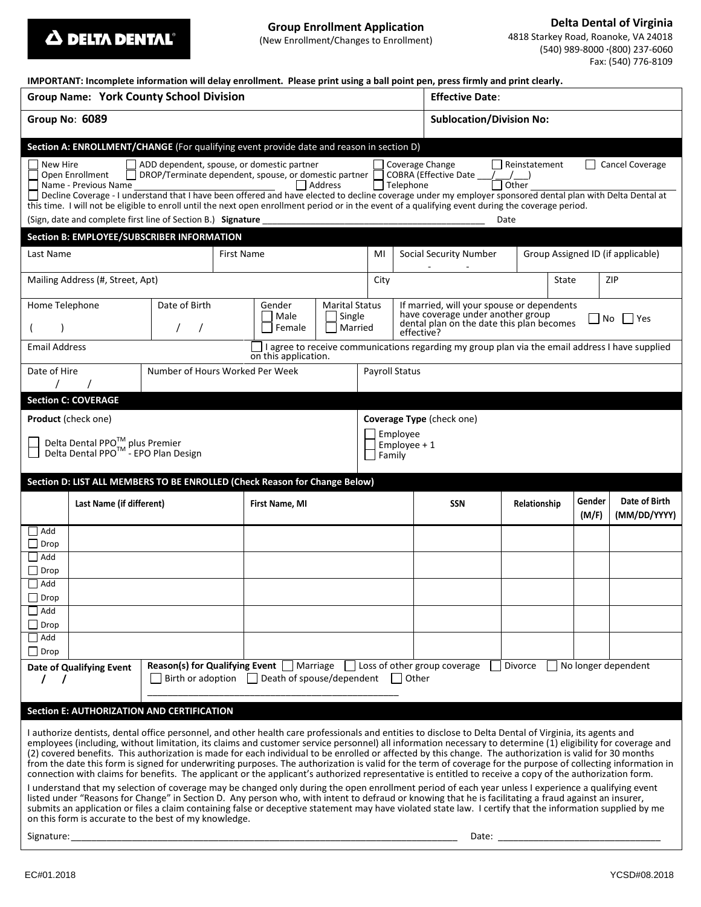**Delta Dental of Virginia**

4818 Starkey Road, Roanoke, VA 24018 (540) 989-8000 **·**(800) 237-6060 Fax: (540) 776-8109

| IMPORTANT: Incomplete information will delay enrollment. Please print using a ball point pen, press firmly and print clearly. |  |
|-------------------------------------------------------------------------------------------------------------------------------|--|
|                                                                                                                               |  |

| <b>Group Name: York County School Division</b>                                                                                                                                                                                                                                                                                                                                                                                                                                                                                                                                                                                                                                                                                                                                                                                                                                                                                                                                                                                                                                                                                                                                                                                                                                                                                                           |                                 |                                            |  |                          |                                            | <b>Effective Date:</b>                                                                                                                     |                            |                                   |                 |                               |           |  |
|----------------------------------------------------------------------------------------------------------------------------------------------------------------------------------------------------------------------------------------------------------------------------------------------------------------------------------------------------------------------------------------------------------------------------------------------------------------------------------------------------------------------------------------------------------------------------------------------------------------------------------------------------------------------------------------------------------------------------------------------------------------------------------------------------------------------------------------------------------------------------------------------------------------------------------------------------------------------------------------------------------------------------------------------------------------------------------------------------------------------------------------------------------------------------------------------------------------------------------------------------------------------------------------------------------------------------------------------------------|---------------------------------|--------------------------------------------|--|--------------------------|--------------------------------------------|--------------------------------------------------------------------------------------------------------------------------------------------|----------------------------|-----------------------------------|-----------------|-------------------------------|-----------|--|
| Group No: 6089                                                                                                                                                                                                                                                                                                                                                                                                                                                                                                                                                                                                                                                                                                                                                                                                                                                                                                                                                                                                                                                                                                                                                                                                                                                                                                                                           |                                 |                                            |  |                          |                                            | <b>Sublocation/Division No:</b>                                                                                                            |                            |                                   |                 |                               |           |  |
|                                                                                                                                                                                                                                                                                                                                                                                                                                                                                                                                                                                                                                                                                                                                                                                                                                                                                                                                                                                                                                                                                                                                                                                                                                                                                                                                                          |                                 |                                            |  |                          |                                            |                                                                                                                                            |                            |                                   |                 |                               |           |  |
| Section A: ENROLLMENT/CHANGE (For qualifying event provide date and reason in section D)<br>New Hire<br>ADD dependent, spouse, or domestic partner<br>Coverage Change<br>Reinstatement<br>Cancel Coverage<br>DROP/Terminate dependent, spouse, or domestic partner  <br>COBRA (Effective Date<br>Open Enrollment<br>$\overline{\overline{\big)}$ Other<br>Name - Previous Name<br>  Address<br>$\Box$ Telephone<br>Decline Coverage - I understand that I have been offered and have elected to decline coverage under my employer sponsored dental plan with Delta Dental at<br>this time. I will not be eligible to enroll until the next open enrollment period or in the event of a qualifying event during the coverage period.<br>(Sign, date and complete first line of Section B.) Signature<br>Date                                                                                                                                                                                                                                                                                                                                                                                                                                                                                                                                             |                                 |                                            |  |                          |                                            |                                                                                                                                            |                            |                                   |                 |                               |           |  |
| Section B: EMPLOYEE/SUBSCRIBER INFORMATION                                                                                                                                                                                                                                                                                                                                                                                                                                                                                                                                                                                                                                                                                                                                                                                                                                                                                                                                                                                                                                                                                                                                                                                                                                                                                                               |                                 |                                            |  |                          |                                            |                                                                                                                                            |                            |                                   |                 |                               |           |  |
| Last Name<br>First Name                                                                                                                                                                                                                                                                                                                                                                                                                                                                                                                                                                                                                                                                                                                                                                                                                                                                                                                                                                                                                                                                                                                                                                                                                                                                                                                                  |                                 |                                            |  |                          | MI                                         |                                                                                                                                            | Social Security Number     | Group Assigned ID (if applicable) |                 |                               |           |  |
| Mailing Address (#, Street, Apt)                                                                                                                                                                                                                                                                                                                                                                                                                                                                                                                                                                                                                                                                                                                                                                                                                                                                                                                                                                                                                                                                                                                                                                                                                                                                                                                         |                                 |                                            |  |                          |                                            | City                                                                                                                                       |                            |                                   |                 | State                         | ZIP       |  |
|                                                                                                                                                                                                                                                                                                                                                                                                                                                                                                                                                                                                                                                                                                                                                                                                                                                                                                                                                                                                                                                                                                                                                                                                                                                                                                                                                          | Date of Birth<br>Home Telephone |                                            |  | Gender<br>Male<br>Female | <b>Marital Status</b><br>Single<br>Married | If married, will your spouse or dependents<br>have coverage under another group<br>dental plan on the date this plan becomes<br>effective? |                            |                                   |                 |                               | Yes<br>No |  |
| <b>Email Address</b><br>I agree to receive communications regarding my group plan via the email address I have supplied<br>on this application.                                                                                                                                                                                                                                                                                                                                                                                                                                                                                                                                                                                                                                                                                                                                                                                                                                                                                                                                                                                                                                                                                                                                                                                                          |                                 |                                            |  |                          |                                            |                                                                                                                                            |                            |                                   |                 |                               |           |  |
| Date of Hire                                                                                                                                                                                                                                                                                                                                                                                                                                                                                                                                                                                                                                                                                                                                                                                                                                                                                                                                                                                                                                                                                                                                                                                                                                                                                                                                             | Number of Hours Worked Per Week |                                            |  |                          |                                            | <b>Payroll Status</b>                                                                                                                      |                            |                                   |                 |                               |           |  |
| <b>Section C: COVERAGE</b>                                                                                                                                                                                                                                                                                                                                                                                                                                                                                                                                                                                                                                                                                                                                                                                                                                                                                                                                                                                                                                                                                                                                                                                                                                                                                                                               |                                 |                                            |  |                          |                                            |                                                                                                                                            |                            |                                   |                 |                               |           |  |
| <b>Product</b> (check one)<br>Delta Dental PPO <sup>™</sup> plus Premier<br>Delta Dental PPO <sup>™</sup> - EPO Plan Design<br>Section D: LIST ALL MEMBERS TO BE ENROLLED (Check Reason for Change Below)                                                                                                                                                                                                                                                                                                                                                                                                                                                                                                                                                                                                                                                                                                                                                                                                                                                                                                                                                                                                                                                                                                                                                |                                 |                                            |  |                          |                                            | Coverage Type (check one)<br>Employee<br>Employee $+1$<br>Family                                                                           |                            |                                   |                 |                               |           |  |
|                                                                                                                                                                                                                                                                                                                                                                                                                                                                                                                                                                                                                                                                                                                                                                                                                                                                                                                                                                                                                                                                                                                                                                                                                                                                                                                                                          | Last Name (if different)        |                                            |  | First Name, MI           |                                            |                                                                                                                                            | <b>SSN</b><br>Relationship |                                   | Gender<br>(M/F) | Date of Birth<br>(MM/DD/YYYY) |           |  |
| $\exists$ Add<br>$\Box$ Drop                                                                                                                                                                                                                                                                                                                                                                                                                                                                                                                                                                                                                                                                                                                                                                                                                                                                                                                                                                                                                                                                                                                                                                                                                                                                                                                             |                                 |                                            |  |                          |                                            |                                                                                                                                            |                            |                                   |                 |                               |           |  |
| $\Box$ Add<br>$\Box$ Drop                                                                                                                                                                                                                                                                                                                                                                                                                                                                                                                                                                                                                                                                                                                                                                                                                                                                                                                                                                                                                                                                                                                                                                                                                                                                                                                                |                                 |                                            |  |                          |                                            |                                                                                                                                            |                            |                                   |                 |                               |           |  |
| $\vert$ Add<br>$\Box$ Drop                                                                                                                                                                                                                                                                                                                                                                                                                                                                                                                                                                                                                                                                                                                                                                                                                                                                                                                                                                                                                                                                                                                                                                                                                                                                                                                               |                                 |                                            |  |                          |                                            |                                                                                                                                            |                            |                                   |                 |                               |           |  |
| $\Box$ Add<br>$\Box$ Drop                                                                                                                                                                                                                                                                                                                                                                                                                                                                                                                                                                                                                                                                                                                                                                                                                                                                                                                                                                                                                                                                                                                                                                                                                                                                                                                                |                                 |                                            |  |                          |                                            |                                                                                                                                            |                            |                                   |                 |                               |           |  |
| $\Box$ Add<br>$\Box$ Drop                                                                                                                                                                                                                                                                                                                                                                                                                                                                                                                                                                                                                                                                                                                                                                                                                                                                                                                                                                                                                                                                                                                                                                                                                                                                                                                                |                                 |                                            |  |                          |                                            |                                                                                                                                            |                            |                                   |                 |                               |           |  |
| <b>Reason(s) for Qualifying Event</b> Marriage Loss of other group coverage<br>Divorce<br>No longer dependent<br>Date of Qualifying Event<br>Birth or adoption Death of spouse/dependent<br>  Other<br>$\prime$                                                                                                                                                                                                                                                                                                                                                                                                                                                                                                                                                                                                                                                                                                                                                                                                                                                                                                                                                                                                                                                                                                                                          |                                 |                                            |  |                          |                                            |                                                                                                                                            |                            |                                   |                 |                               |           |  |
|                                                                                                                                                                                                                                                                                                                                                                                                                                                                                                                                                                                                                                                                                                                                                                                                                                                                                                                                                                                                                                                                                                                                                                                                                                                                                                                                                          |                                 | Section E: AUTHORIZATION AND CERTIFICATION |  |                          |                                            |                                                                                                                                            |                            |                                   |                 |                               |           |  |
| I authorize dentists, dental office personnel, and other health care professionals and entities to disclose to Delta Dental of Virginia, its agents and<br>employees (including, without limitation, its claims and customer service personnel) all information necessary to determine (1) eligibility for coverage and<br>(2) covered benefits. This authorization is made for each individual to be enrolled or affected by this change. The authorization is valid for 30 months<br>from the date this form is signed for underwriting purposes. The authorization is valid for the term of coverage for the purpose of collecting information in<br>connection with claims for benefits. The applicant or the applicant's authorized representative is entitled to receive a copy of the authorization form.<br>I understand that my selection of coverage may be changed only during the open enrollment period of each year unless I experience a qualifying event<br>listed under "Reasons for Change" in Section D. Any person who, with intent to defraud or knowing that he is facilitating a fraud against an insurer,<br>submits an application or files a claim containing false or deceptive statement may have violated state law. I certify that the information supplied by me<br>on this form is accurate to the best of my knowledge. |                                 |                                            |  |                          |                                            |                                                                                                                                            |                            |                                   |                 |                               |           |  |

Signature:\_\_\_\_\_\_\_\_\_\_\_\_\_\_\_\_\_\_\_\_\_\_\_\_\_\_\_\_\_\_\_\_\_\_\_\_\_\_\_\_\_\_\_\_\_\_\_\_\_\_\_\_\_\_\_\_\_\_\_\_\_\_\_\_\_\_\_\_\_\_\_\_\_\_\_\_ Date: \_\_\_\_\_\_\_\_\_\_\_\_\_\_\_\_\_\_\_\_\_\_\_\_\_\_\_\_\_\_\_\_